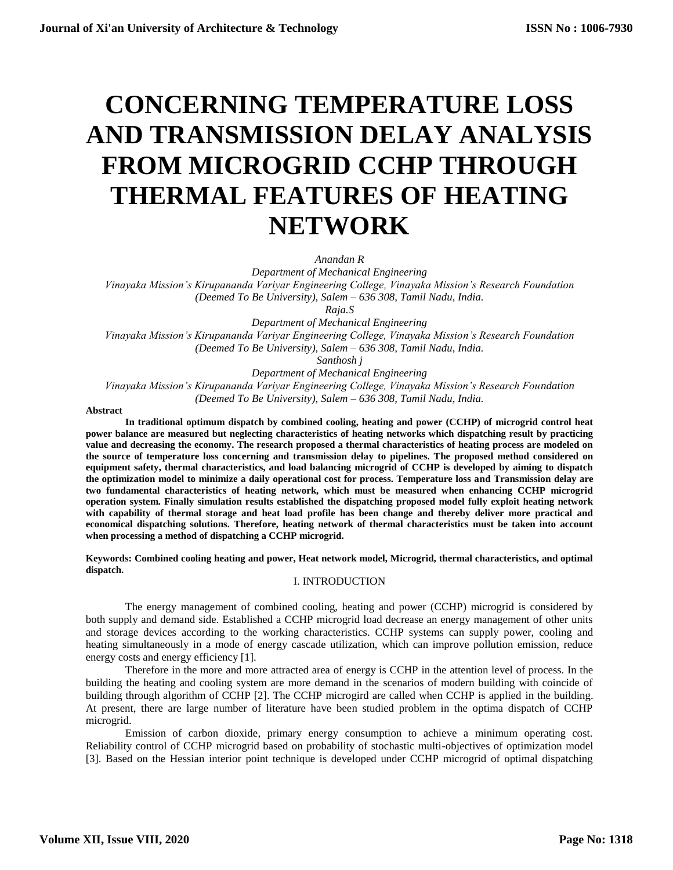# **CONCERNING TEMPERATURE LOSS AND TRANSMISSION DELAY ANALYSIS FROM MICROGRID CCHP THROUGH THERMAL FEATURES OF HEATING NETWORK**

*Anandan R*

*Department of Mechanical Engineering Vinayaka Mission's Kirupananda Variyar Engineering College, Vinayaka Mission's Research Foundation (Deemed To Be University), Salem – 636 308, Tamil Nadu, India.*

*Raja.S*

*Department of Mechanical Engineering Vinayaka Mission's Kirupananda Variyar Engineering College, Vinayaka Mission's Research Foundation (Deemed To Be University), Salem – 636 308, Tamil Nadu, India.*

*Santhosh j*

*Department of Mechanical Engineering*

*Vinayaka Mission's Kirupananda Variyar Engineering College, Vinayaka Mission's Research Foundation (Deemed To Be University), Salem – 636 308, Tamil Nadu, India.*

#### **Abstract**

**In traditional optimum dispatch by combined cooling, heating and power (CCHP) of microgrid control heat power balance are measured but neglecting characteristics of heating networks which dispatching result by practicing value and decreasing the economy. The research proposed a thermal characteristics of heating process are modeled on the source of temperature loss concerning and transmission delay to pipelines. The proposed method considered on equipment safety, thermal characteristics, and load balancing microgrid of CCHP is developed by aiming to dispatch the optimization model to minimize a daily operational cost for process. Temperature loss and Transmission delay are two fundamental characteristics of heating network, which must be measured when enhancing CCHP microgrid operation system. Finally simulation results established the dispatching proposed model fully exploit heating network with capability of thermal storage and heat load profile has been change and thereby deliver more practical and economical dispatching solutions. Therefore, heating network of thermal characteristics must be taken into account when processing a method of dispatching a CCHP microgrid.**

**Keywords: Combined cooling heating and power, Heat network model, Microgrid, thermal characteristics, and optimal dispatch.**

## I. INTRODUCTION

The energy management of combined cooling, heating and power (CCHP) microgrid is considered by both supply and demand side. Established a CCHP microgrid load decrease an energy management of other units and storage devices according to the working characteristics. CCHP systems can supply power, cooling and heating simultaneously in a mode of energy cascade utilization, which can improve pollution emission, reduce energy costs and energy efficiency [1].

Therefore in the more and more attracted area of energy is CCHP in the attention level of process. In the building the heating and cooling system are more demand in the scenarios of modern building with coincide of building through algorithm of CCHP [2]. The CCHP microgird are called when CCHP is applied in the building. At present, there are large number of literature have been studied problem in the optima dispatch of CCHP microgrid.

Emission of carbon dioxide, primary energy consumption to achieve a minimum operating cost. Reliability control of CCHP microgrid based on probability of stochastic multi-objectives of optimization model [3]. Based on the Hessian interior point technique is developed under CCHP microgrid of optimal dispatching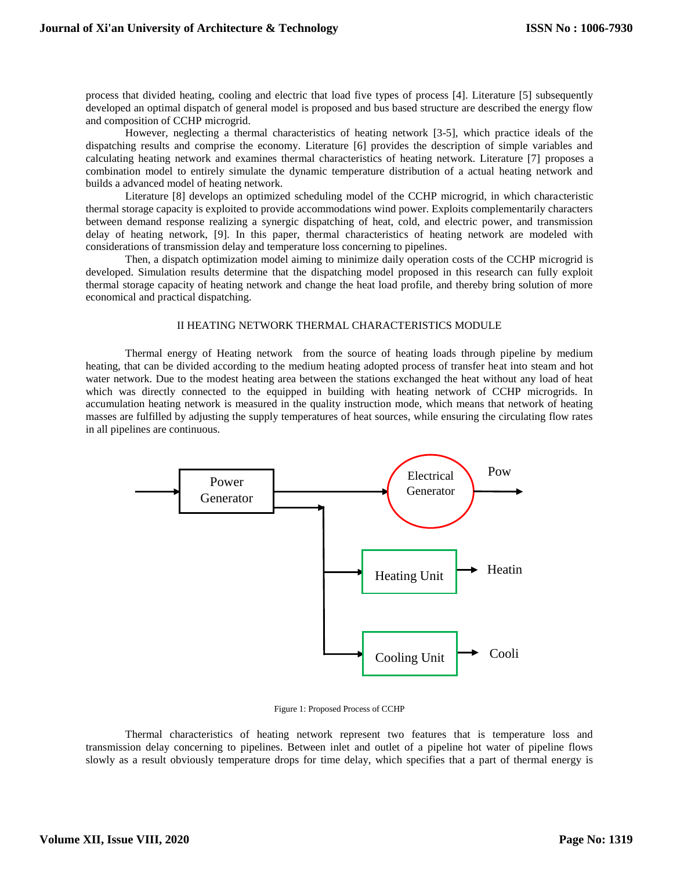process that divided heating, cooling and electric that load five types of process [4]. Literature [5] subsequently developed an optimal dispatch of general model is proposed and bus based structure are described the energy flow and composition of CCHP microgrid.

However, neglecting a thermal characteristics of heating network [3-5], which practice ideals of the dispatching results and comprise the economy. Literature [6] provides the description of simple variables and calculating heating network and examines thermal characteristics of heating network. Literature [7] proposes a combination model to entirely simulate the dynamic temperature distribution of a actual heating network and builds a advanced model of heating network.

Literature [8] develops an optimized scheduling model of the CCHP microgrid, in which characteristic thermal storage capacity is exploited to provide accommodations wind power. Exploits complementarily characters between demand response realizing a synergic dispatching of heat, cold, and electric power, and transmission delay of heating network, [9]. In this paper, thermal characteristics of heating network are modeled with considerations of transmission delay and temperature loss concerning to pipelines.

Then, a dispatch optimization model aiming to minimize daily operation costs of the CCHP microgrid is developed. Simulation results determine that the dispatching model proposed in this research can fully exploit thermal storage capacity of heating network and change the heat load profile, and thereby bring solution of more economical and practical dispatching.

### II HEATING NETWORK THERMAL CHARACTERISTICS MODULE

Thermal energy of Heating network from the source of heating loads through pipeline by medium heating, that can be divided according to the medium heating adopted process of transfer heat into steam and hot water network. Due to the modest heating area between the stations exchanged the heat without any load of heat which was directly connected to the equipped in building with heating network of CCHP microgrids. In accumulation heating network is measured in the quality instruction mode, which means that network of heating masses are fulfilled by adjusting the supply temperatures of heat sources, while ensuring the circulating flow rates in all pipelines are continuous.



Figure 1: Proposed Process of CCHP

Thermal characteristics of heating network represent two features that is temperature loss and transmission delay concerning to pipelines. Between inlet and outlet of a pipeline hot water of pipeline flows slowly as a result obviously temperature drops for time delay, which specifies that a part of thermal energy is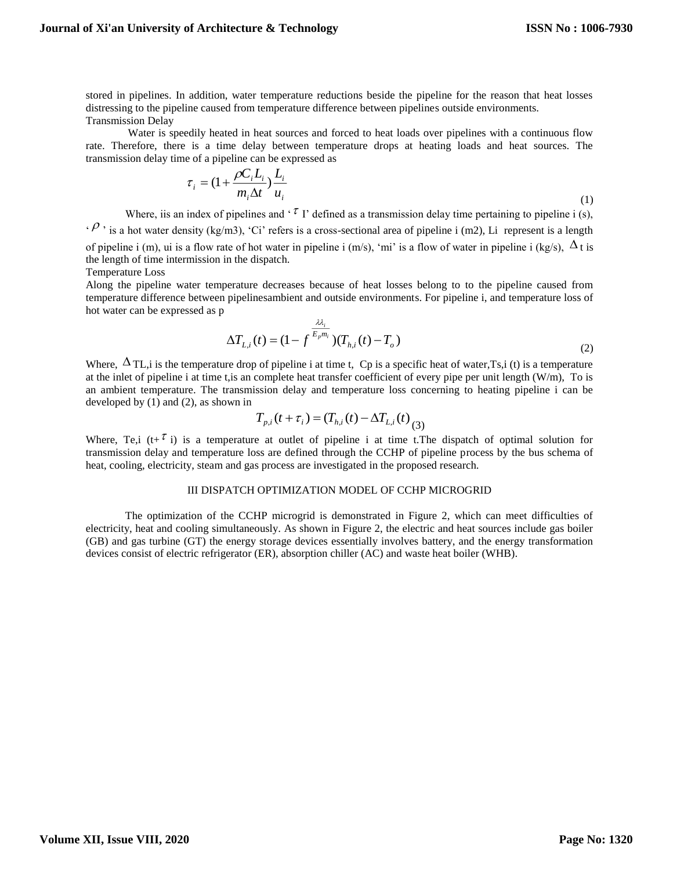stored in pipelines. In addition, water temperature reductions beside the pipeline for the reason that heat losses distressing to the pipeline caused from temperature difference between pipelines outside environments. Transmission Delay

Water is speedily heated in heat sources and forced to heat loads over pipelines with a continuous flow rate. Therefore, there is a time delay between temperature drops at heating loads and heat sources. The transmission delay time of a pipeline can be expressed as

$$
\tau_i = (1 + \frac{\rho C_i L_i}{m_i \Delta t}) \frac{L_i}{u_i}
$$
\n<sup>(1)</sup>

Where, iis an index of pipelines and '<sup> $\tau$ </sup> I' defined as a transmission delay time pertaining to pipeline i (s),  $\cdot \rho$ , is a hot water density (kg/m3), 'Ci' refers is a cross-sectional area of pipeline i (m2), Li represent is a length of pipeline i (m), ui is a flow rate of hot water in pipeline i (m/s), 'mi' is a flow of water in pipeline i (kg/s),  $\Delta t$  is the length of time intermission in the dispatch.

Temperature Loss

Along the pipeline water temperature decreases because of heat losses belong to to the pipeline caused from temperature difference between pipelinesambient and outside environments. For pipeline i, and temperature loss of hot water can be expressed as p

$$
\Delta T_{L,i}(t) = (1 - f^{\frac{\lambda \lambda_i}{E_p m_i}})(T_{h,i}(t) - T_o)
$$
\n(2)

Where,  $\Delta$ TL, i is the temperature drop of pipeline i at time t, Cp is a specific heat of water, Ts, i (t) is a temperature at the inlet of pipeline i at time t,is an complete heat transfer coefficient of every pipe per unit length (W/m), To is an ambient temperature. The transmission delay and temperature loss concerning to heating pipeline i can be developed by (1) and (2), as shown in

$$
T_{p,i}(t+\tau_i) = (T_{h,i}(t) - \Delta T_{L,i}(t))
$$

Where, Te,i  $(t+^{\tau} i)$  is a temperature at outlet of pipeline i at time t. The dispatch of optimal solution for transmission delay and temperature loss are defined through the CCHP of pipeline process by the bus schema of heat, cooling, electricity, steam and gas process are investigated in the proposed research.

### III DISPATCH OPTIMIZATION MODEL OF CCHP MICROGRID

The optimization of the CCHP microgrid is demonstrated in Figure 2, which can meet difficulties of electricity, heat and cooling simultaneously. As shown in Figure 2, the electric and heat sources include gas boiler (GB) and gas turbine (GT) the energy storage devices essentially involves battery, and the energy transformation devices consist of electric refrigerator (ER), absorption chiller (AC) and waste heat boiler (WHB).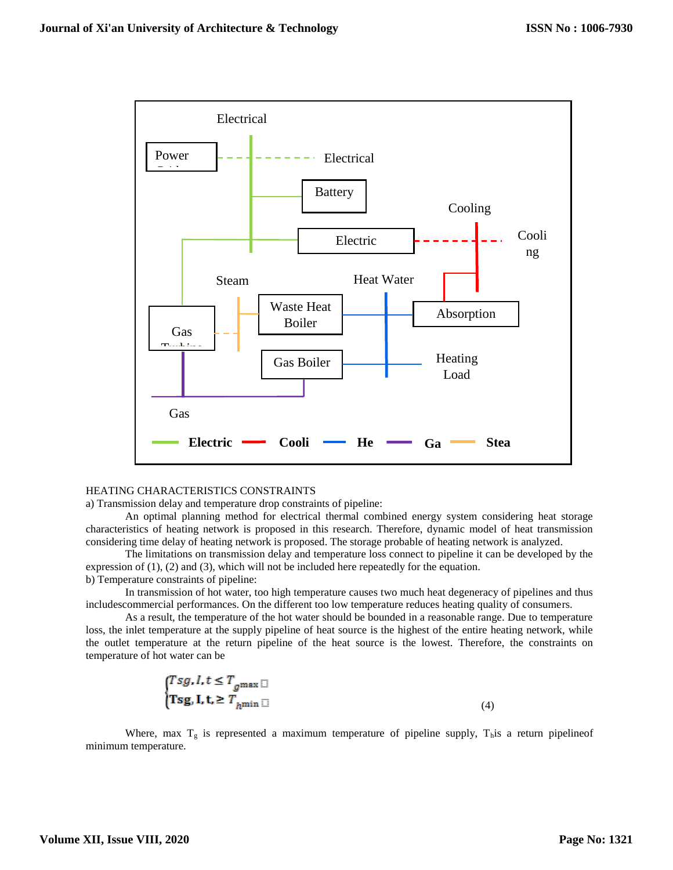

#### HEATING CHARACTERISTICS CONSTRAINTS

a) Transmission delay and temperature drop constraints of pipeline:

An optimal planning method for electrical thermal combined energy system considering heat storage characteristics of heating network is proposed in this research. Therefore, dynamic model of heat transmission considering time delay of heating network is proposed. The storage probable of heating network is analyzed.

The limitations on transmission delay and temperature loss connect to pipeline it can be developed by the expression of  $(1)$ ,  $(2)$  and  $(3)$ , which will not be included here repeatedly for the equation. b) Temperature constraints of pipeline:

In transmission of hot water, too high temperature causes two much heat degeneracy of pipelines and thus includescommercial performances. On the different too low temperature reduces heating quality of consumers.

As a result, the temperature of the hot water should be bounded in a reasonable range. Due to temperature loss, the inlet temperature at the supply pipeline of heat source is the highest of the entire heating network, while the outlet temperature at the return pipeline of the heat source is the lowest. Therefore, the constraints on temperature of hot water can be

$$
\begin{cases} Tsg, I, t \le T_{g^{\max}} \end{cases} \tag{4}
$$
\n
$$
\begin{cases} \text{Tsg, I, t, } \ge T_{h^{\min}} \end{cases}
$$

Where, max  $T<sub>g</sub>$  is represented a maximum temperature of pipeline supply,  $T<sub>h</sub>$  is a return pipelineof minimum temperature.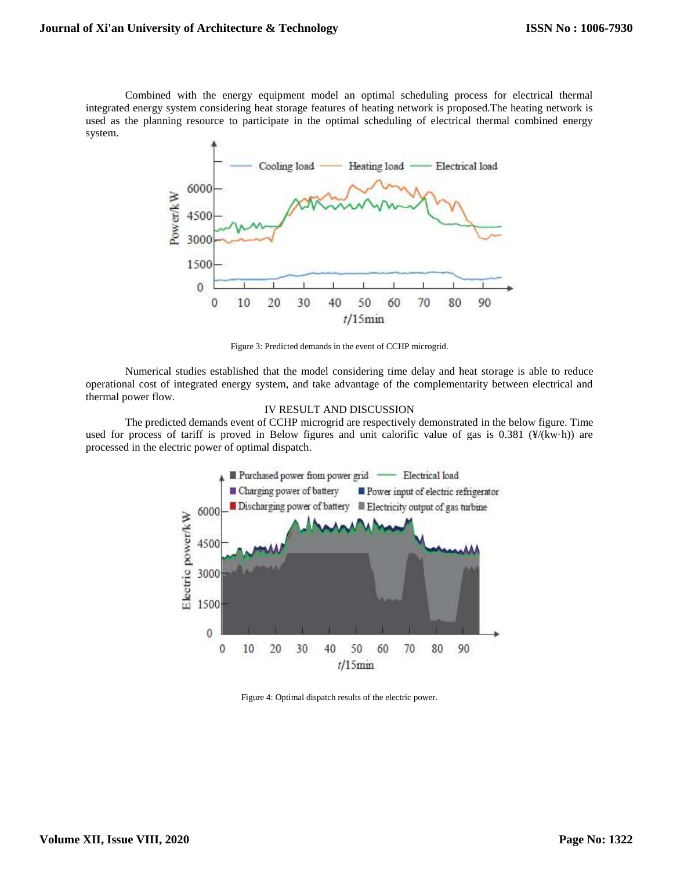Combined with the energy equipment model an optimal scheduling process for electrical thermal integrated energy system considering heat storage features of heating network is proposed.The heating network is used as the planning resource to participate in the optimal scheduling of electrical thermal combined energy system.



Figure 3: Predicted demands in the event of CCHP microgrid.

Numerical studies established that the model considering time delay and heat storage is able to reduce operational cost of integrated energy system, and take advantage of the complementarity between electrical and thermal power flow.

### IV RESULT AND DISCUSSION

The predicted demands event of CCHP microgrid are respectively demonstrated in the below figure. Time used for process of tariff is proved in Below figures and unit calorific value of gas is 0.381 (¥/(kw·h)) are processed in the electric power of optimal dispatch.



Figure 4: Optimal dispatch results of the electric power.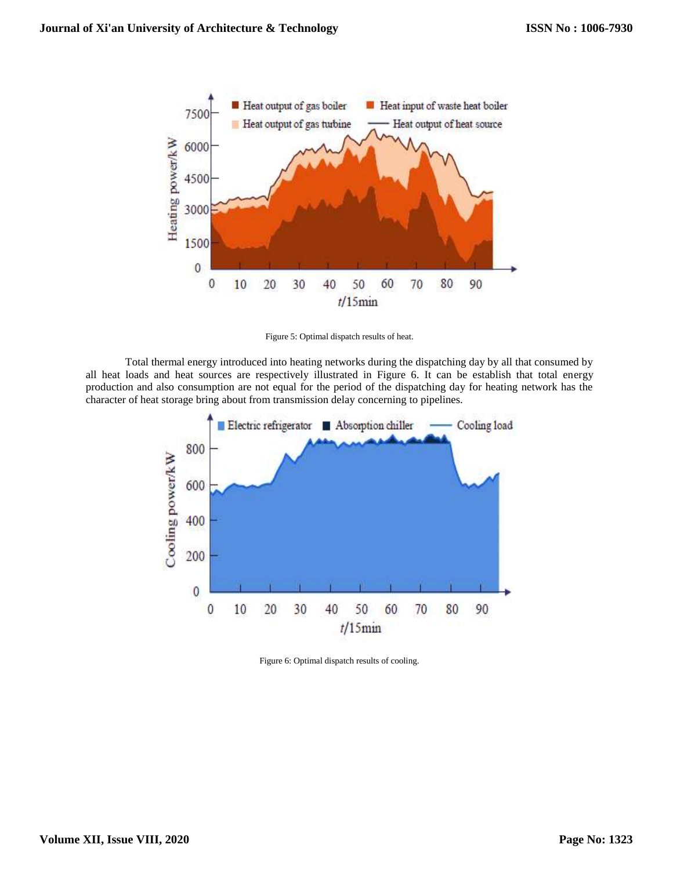

Figure 5: Optimal dispatch results of heat.

Total thermal energy introduced into heating networks during the dispatching day by all that consumed by all heat loads and heat sources are respectively illustrated in Figure 6. It can be establish that total energy production and also consumption are not equal for the period of the dispatching day for heating network has the character of heat storage bring about from transmission delay concerning to pipelines.



Figure 6: Optimal dispatch results of cooling.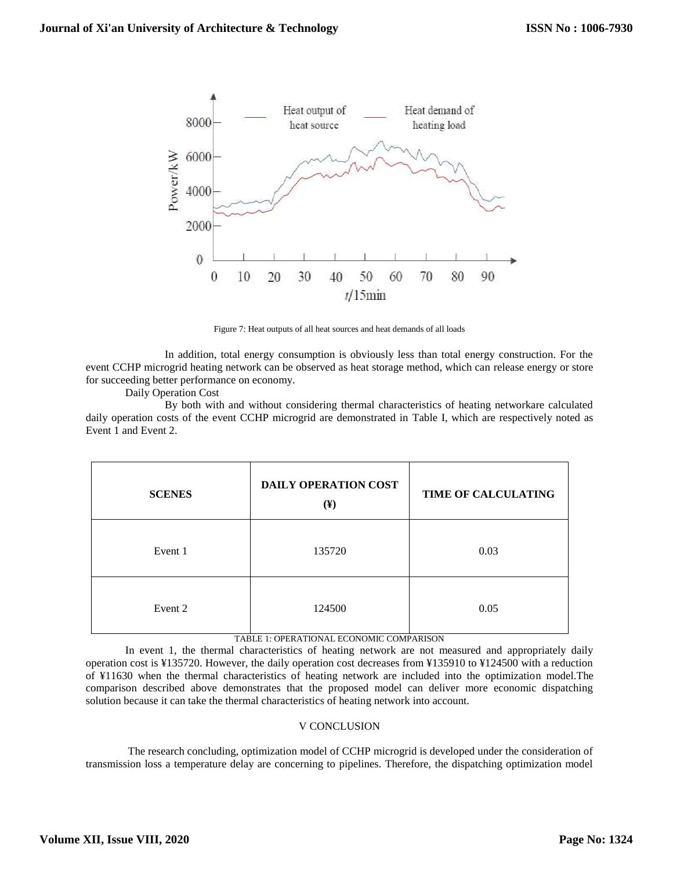

Figure 7: Heat outputs of all heat sources and heat demands of all loads

In addition, total energy consumption is obviously less than total energy construction. For the event CCHP microgrid heating network can be observed as heat storage method, which can release energy or store for succeeding better performance on economy.

Daily Operation Cost

By both with and without considering thermal characteristics of heating networkare calculated daily operation costs of the event CCHP microgrid are demonstrated in Table I, which are respectively noted as Event 1 and Event 2.

| <b>SCENES</b> | DAILY OPERATION COST<br>$(\mathbf{\mathbf{F}})$ | TIME OF CALCULATING |
|---------------|-------------------------------------------------|---------------------|
| Event 1       | 135720                                          | 0.03                |
| Event 2       | 124500                                          | 0.05                |

#### TABLE 1: OPERATIONAL ECONOMIC COMPARISON

In event 1, the thermal characteristics of heating network are not measured and appropriately daily operation cost is ¥135720. However, the daily operation cost decreases from ¥135910 to ¥124500 with a reduction of ¥11630 when the thermal characteristics of heating network are included into the optimization model.The comparison described above demonstrates that the proposed model can deliver more economic dispatching solution because it can take the thermal characteristics of heating network into account.

# V CONCLUSION

The research concluding, optimization model of CCHP microgrid is developed under the consideration of transmission loss a temperature delay are concerning to pipelines. Therefore, the dispatching optimization model